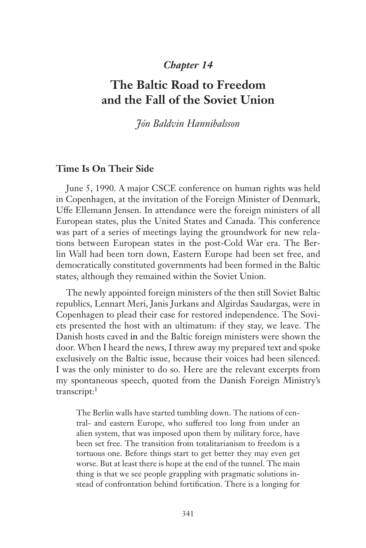# *Chapter 14*

# **The Baltic Road to Freedom and the Fall of the Soviet Union**

# *Jón Baldvin Hannibalsson*

# **Time Is On Their Side**

June 5, 1990. A major CSCE conference on human rights was held in Copenhagen, at the invitation of the Foreign Minister of Denmark, Uffe Ellemann Jensen. In attendance were the foreign ministers of all European states, plus the United States and Canada. This conference was part of a series of meetings laying the groundwork for new relations between European states in the post-Cold War era. The Berlin Wall had been torn down, Eastern Europe had been set free, and democratically constituted governments had been formed in the Baltic states, although they remained within the Soviet Union.

The newly appointed foreign ministers of the then still Soviet Baltic republics, Lennart Meri, Janis Jurkans and Algirdas Saudargas, were in Copenhagen to plead their case for restored independence. The Soviets presented the host with an ultimatum: if they stay, we leave. The Danish hosts caved in and the Baltic foreign ministers were shown the door. When I heard the news, I threw away my prepared text and spoke exclusively on the Baltic issue, because their voices had been silenced. I was the only minister to do so. Here are the relevant excerpts from my spontaneous speech, quoted from the Danish Foreign Ministry's transcript:<sup>1</sup>

The Berlin walls have started tumbling down. The nations of central- and eastern Europe, who suffered too long from under an alien system, that was imposed upon them by military force, have been set free. The transition from totalitarianism to freedom is a tortuous one. Before things start to get better they may even get worse. But at least there is hope at the end of the tunnel. The main thing is that we see people grappling with pragmatic solutions instead of confrontation behind fortification. There is a longing for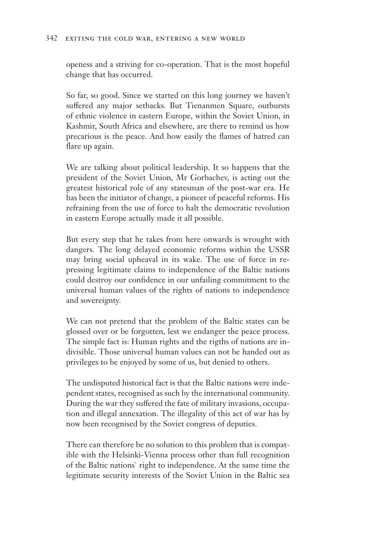openess and a striving for co-operation. That is the most hopeful change that has occurred.

So far, so good. Since we started on this long journey we haven't suffered any major setbacks. But Tienanmen Square, outbursts of ethnic violence in eastern Europe, within the Soviet Union, in Kashmir, South Africa and elsewhere, are there to remind us how precarious is the peace. And how easily the flames of hatred can flare up again.

We are talking about political leadership. It so happens that the president of the Soviet Union, Mr Gorbachev, is acting out the greatest historical role of any statesman of the post-war era. He has been the initiator of change, a pioneer of peaceful reforms. His refraining from the use of force to halt the democratic revolution in eastern Europe actually made it all possible.

But every step that he takes from here onwards is wrought with dangers. The long delayed economic reforms within the USSR may bring social upheaval in its wake. The use of force in repressing legitimate claims to independence of the Baltic nations could destroy our confidence in our unfailing commitment to the universal human values of the rights of nations to independence and sovereignty.

We can not pretend that the problem of the Baltic states can be glossed over or be forgotten, lest we endanger the peace process. The simple fact is: Human rights and the rigths of nations are indivisible. Those universal human values can not be handed out as privileges to be enjoyed by some of us, but denied to others.

The undisputed historical fact is that the Baltic nations were independent states, recognised as such by the international community. During the war they suffered the fate of military invasions, occupation and illegal annexation. The illegality of this act of war has by now been recognised by the Soviet congress of deputies.

There can therefore be no solution to this problem that is compatible with the Helsinki-Vienna process other than full recognition of the Baltic nations` right to independence. At the same time the legitimate security interests of the Soviet Union in the Baltic sea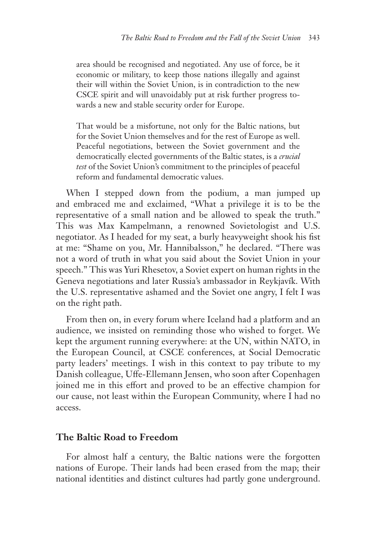area should be recognised and negotiated. Any use of force, be it economic or military, to keep those nations illegally and against their will within the Soviet Union, is in contradiction to the new CSCE spirit and will unavoidably put at risk further progress towards a new and stable security order for Europe.

That would be a misfortune, not only for the Baltic nations, but for the Soviet Union themselves and for the rest of Europe as well. Peaceful negotiations, between the Soviet government and the democratically elected governments of the Baltic states, is a *crucial test* of the Soviet Union's commitment to the principles of peaceful reform and fundamental democratic values.

When I stepped down from the podium, a man jumped up and embraced me and exclaimed, "What a privilege it is to be the representative of a small nation and be allowed to speak the truth." This was Max Kampelmann, a renowned Sovietologist and U.S. negotiator. As I headed for my seat, a burly heavyweight shook his fist at me: "Shame on you, Mr. Hannibalsson," he declared. "There was not a word of truth in what you said about the Soviet Union in your speech." This was Yuri Rhesetov, a Soviet expert on human rights in the Geneva negotiations and later Russia's ambassador in Reykjavík. With the U.S. representative ashamed and the Soviet one angry, I felt I was on the right path.

From then on, in every forum where Iceland had a platform and an audience, we insisted on reminding those who wished to forget. We kept the argument running everywhere: at the UN, within NATO, in the European Council, at CSCE conferences, at Social Democratic party leaders' meetings. I wish in this context to pay tribute to my Danish colleague, Uffe-Ellemann Jensen, who soon after Copenhagen joined me in this effort and proved to be an effective champion for our cause, not least within the European Community, where I had no access.

# **The Baltic Road to Freedom**

For almost half a century, the Baltic nations were the forgotten nations of Europe. Their lands had been erased from the map; their national identities and distinct cultures had partly gone underground.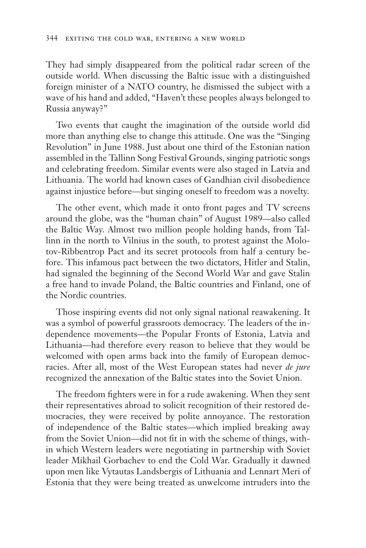They had simply disappeared from the political radar screen of the outside world. When discussing the Baltic issue with a distinguished foreign minister of a NATO country, he dismissed the subject with a wave of his hand and added, "Haven't these peoples always belonged to Russia anyway?"

Two events that caught the imagination of the outside world did more than anything else to change this attitude. One was the "Singing Revolution" in June 1988. Just about one third of the Estonian nation assembled in the Tallinn Song Festival Grounds, singing patriotic songs and celebrating freedom. Similar events were also staged in Latvia and Lithuania. The world had known cases of Gandhian civil disobedience against injustice before—but singing oneself to freedom was a novelty.

The other event, which made it onto front pages and TV screens around the globe, was the "human chain" of August 1989—also called the Baltic Way. Almost two million people holding hands, from Tallinn in the north to Vilnius in the south, to protest against the Molotov-Ribbentrop Pact and its secret protocols from half a century before. This infamous pact between the two dictators, Hitler and Stalin, had signaled the beginning of the Second World War and gave Stalin a free hand to invade Poland, the Baltic countries and Finland, one of the Nordic countries.

Those inspiring events did not only signal national reawakening. It was a symbol of powerful grassroots democracy. The leaders of the independence movements—the Popular Fronts of Estonia, Latvia and Lithuania—had therefore every reason to believe that they would be welcomed with open arms back into the family of European democracies. After all, most of the West European states had never *de jure*  recognized the annexation of the Baltic states into the Soviet Union.

The freedom fighters were in for a rude awakening. When they sent their representatives abroad to solicit recognition of their restored democracies, they were received by polite annoyance. The restoration of independence of the Baltic states—which implied breaking away from the Soviet Union—did not fit in with the scheme of things, within which Western leaders were negotiating in partnership with Soviet leader Mikhail Gorbachev to end the Cold War. Gradually it dawned upon men like Vytautas Landsbergis of Lithuania and Lennart Meri of Estonia that they were being treated as unwelcome intruders into the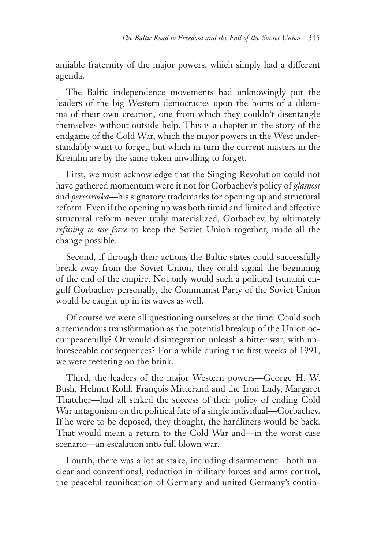amiable fraternity of the major powers, which simply had a different agenda.

The Baltic independence movements had unknowingly put the leaders of the big Western democracies upon the horns of a dilemma of their own creation, one from which they couldn't disentangle themselves without outside help. This is a chapter in the story of the endgame of the Cold War, which the major powers in the West understandably want to forget, but which in turn the current masters in the Kremlin are by the same token unwilling to forget.

First, we must acknowledge that the Singing Revolution could not have gathered momentum were it not for Gorbachev's policy of *glasnost* and *perestroika*—his signatory trademarks for opening up and structural reform. Even if the opening up was both timid and limited and effective structural reform never truly materialized, Gorbachev, by ultimately *refusing to use force* to keep the Soviet Union together, made all the change possible.

Second, if through their actions the Baltic states could successfully break away from the Soviet Union, they could signal the beginning of the end of the empire. Not only would such a political tsunami engulf Gorbachev personally, the Communist Party of the Soviet Union would be caught up in its waves as well.

Of course we were all questioning ourselves at the time: Could such a tremendous transformation as the potential breakup of the Union occur peacefully? Or would disintegration unleash a bitter war, with unforeseeable consequences? For a while during the first weeks of 1991, we were teetering on the brink.

Third, the leaders of the major Western powers—George H. W. Bush, Helmut Kohl, François Mitterand and the Iron Lady, Margaret Thatcher—had all staked the success of their policy of ending Cold War antagonism on the political fate of a single individual—Gorbachev. If he were to be deposed, they thought, the hardliners would be back. That would mean a return to the Cold War and—in the worst case scenario—an escalation into full blown war.

Fourth, there was a lot at stake, including disarmament—both nuclear and conventional, reduction in military forces and arms control, the peaceful reunification of Germany and united Germany's contin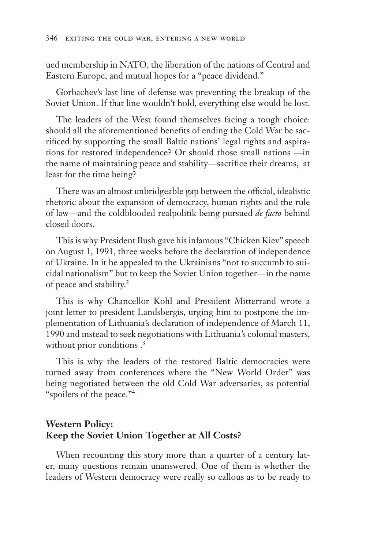ued membership in NATO, the liberation of the nations of Central and Eastern Europe, and mutual hopes for a "peace dividend."

Gorbachev's last line of defense was preventing the breakup of the Soviet Union. If that line wouldn't hold, everything else would be lost.

The leaders of the West found themselves facing a tough choice: should all the aforementioned benefits of ending the Cold War be sacrificed by supporting the small Baltic nations' legal rights and aspirations for restored independence? Or should those small nations —in the name of maintaining peace and stability—sacrifice their dreams, at least for the time being?

There was an almost unbridgeable gap between the official, idealistic rhetoric about the expansion of democracy, human rights and the rule of law—and the coldblooded realpolitik being pursued *de facto* behind closed doors.

This is why President Bush gave his infamous "Chicken Kiev" speech on August 1, 1991, three weeks before the declaration of independence of Ukraine. In it he appealed to the Ukrainians "not to succumb to suicidal nationalism" but to keep the Soviet Union together—in the name of peace and stability.2

This is why Chancellor Kohl and President Mitterrand wrote a joint letter to president Landsbergis, urging him to postpone the implementation of Lithuania's declaration of independence of March 11, 1990 and instead to seek negotiations with Lithuania's colonial masters, without prior conditions  $\cdot$ <sup>3</sup>

This is why the leaders of the restored Baltic democracies were turned away from conferences where the "New World Order" was being negotiated between the old Cold War adversaries, as potential "spoilers of the peace."4

# **Western Policy: Keep the Soviet Union Together at All Costs?**

When recounting this story more than a quarter of a century later, many questions remain unanswered. One of them is whether the leaders of Western democracy were really so callous as to be ready to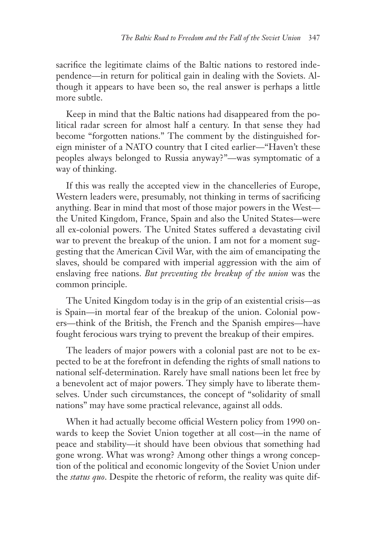sacrifice the legitimate claims of the Baltic nations to restored independence—in return for political gain in dealing with the Soviets. Although it appears to have been so, the real answer is perhaps a little more subtle.

Keep in mind that the Baltic nations had disappeared from the political radar screen for almost half a century. In that sense they had become "forgotten nations." The comment by the distinguished foreign minister of a NATO country that I cited earlier—"Haven't these peoples always belonged to Russia anyway?"—was symptomatic of a way of thinking.

If this was really the accepted view in the chancelleries of Europe, Western leaders were, presumably, not thinking in terms of sacrificing anything. Bear in mind that most of those major powers in the West the United Kingdom, France, Spain and also the United States—were all ex-colonial powers. The United States suffered a devastating civil war to prevent the breakup of the union. I am not for a moment suggesting that the American Civil War, with the aim of emancipating the slaves, should be compared with imperial aggression with the aim of enslaving free nations. *But preventing the breakup of the union* was the common principle.

The United Kingdom today is in the grip of an existential crisis—as is Spain—in mortal fear of the breakup of the union. Colonial powers—think of the British, the French and the Spanish empires—have fought ferocious wars trying to prevent the breakup of their empires.

The leaders of major powers with a colonial past are not to be expected to be at the forefront in defending the rights of small nations to national self-determination. Rarely have small nations been let free by a benevolent act of major powers. They simply have to liberate themselves. Under such circumstances, the concept of "solidarity of small nations" may have some practical relevance, against all odds.

When it had actually become official Western policy from 1990 onwards to keep the Soviet Union together at all cost—in the name of peace and stability—it should have been obvious that something had gone wrong. What was wrong? Among other things a wrong conception of the political and economic longevity of the Soviet Union under the *status quo*. Despite the rhetoric of reform, the reality was quite dif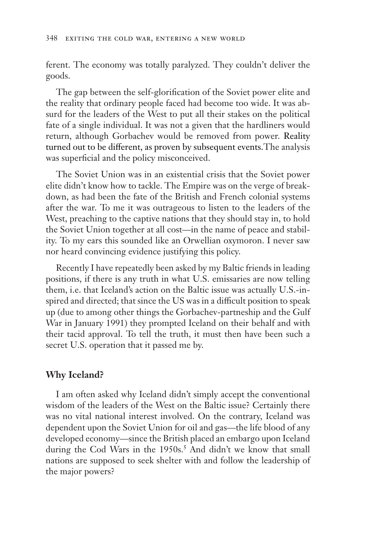ferent. The economy was totally paralyzed. They couldn't deliver the goods.

The gap between the self-glorification of the Soviet power elite and the reality that ordinary people faced had become too wide. It was absurd for the leaders of the West to put all their stakes on the political fate of a single individual. It was not a given that the hardliners would return, although Gorbachev would be removed from power. Reality turned out to be different, as proven by subsequent events.The analysis was superficial and the policy misconceived.

The Soviet Union was in an existential crisis that the Soviet power elite didn't know how to tackle. The Empire was on the verge of breakdown, as had been the fate of the British and French colonial systems after the war. To me it was outrageous to listen to the leaders of the West, preaching to the captive nations that they should stay in, to hold the Soviet Union together at all cost—in the name of peace and stability. To my ears this sounded like an Orwellian oxymoron. I never saw nor heard convincing evidence justifying this policy.

Recently I have repeatedly been asked by my Baltic friends in leading positions, if there is any truth in what U.S. emissaries are now telling them, i.e. that Iceland's action on the Baltic issue was actually U.S.-inspired and directed; that since the US was in a difficult position to speak up (due to among other things the Gorbachev-partneship and the Gulf War in January 1991) they prompted Iceland on their behalf and with their tacid approval. To tell the truth, it must then have been such a secret U.S. operation that it passed me by.

## **Why Iceland?**

I am often asked why Iceland didn't simply accept the conventional wisdom of the leaders of the West on the Baltic issue? Certainly there was no vital national interest involved. On the contrary, Iceland was dependent upon the Soviet Union for oil and gas—the life blood of any developed economy—since the British placed an embargo upon Iceland during the Cod Wars in the 1950s.<sup>5</sup> And didn't we know that small nations are supposed to seek shelter with and follow the leadership of the major powers?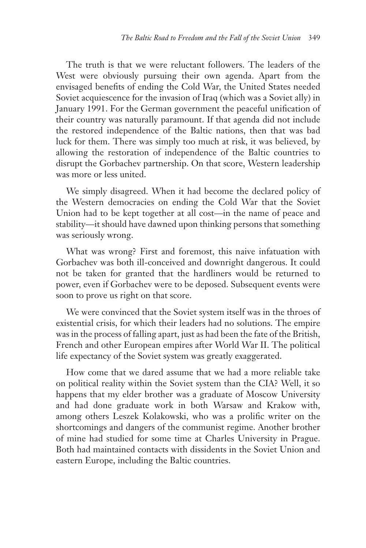The truth is that we were reluctant followers. The leaders of the West were obviously pursuing their own agenda. Apart from the envisaged benefits of ending the Cold War, the United States needed Soviet acquiescence for the invasion of Iraq (which was a Soviet ally) in January 1991. For the German government the peaceful unification of their country was naturally paramount. If that agenda did not include the restored independence of the Baltic nations, then that was bad luck for them. There was simply too much at risk, it was believed, by allowing the restoration of independence of the Baltic countries to disrupt the Gorbachev partnership. On that score, Western leadership was more or less united.

We simply disagreed. When it had become the declared policy of the Western democracies on ending the Cold War that the Soviet Union had to be kept together at all cost—in the name of peace and stability—it should have dawned upon thinking persons that something was seriously wrong.

What was wrong? First and foremost, this naive infatuation with Gorbachev was both ill-conceived and downright dangerous. It could not be taken for granted that the hardliners would be returned to power, even if Gorbachev were to be deposed. Subsequent events were soon to prove us right on that score.

We were convinced that the Soviet system itself was in the throes of existential crisis, for which their leaders had no solutions. The empire was in the process of falling apart, just as had been the fate of the British, French and other European empires after World War II. The political life expectancy of the Soviet system was greatly exaggerated.

How come that we dared assume that we had a more reliable take on political reality within the Soviet system than the CIA? Well, it so happens that my elder brother was a graduate of Moscow University and had done graduate work in both Warsaw and Krakow with, among others Leszek Kolakowski, who was a prolific writer on the shortcomings and dangers of the communist regime. Another brother of mine had studied for some time at Charles University in Prague. Both had maintained contacts with dissidents in the Soviet Union and eastern Europe, including the Baltic countries.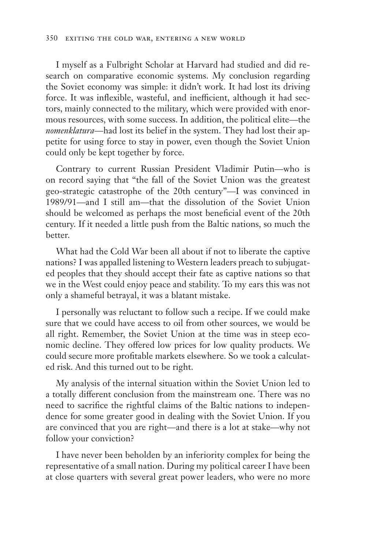I myself as a Fulbright Scholar at Harvard had studied and did research on comparative economic systems. My conclusion regarding the Soviet economy was simple: it didn't work. It had lost its driving force. It was inflexible, wasteful, and inefficient, although it had sectors, mainly connected to the military, which were provided with enormous resources, with some success. In addition, the political elite—the *nomenklatura*—had lost its belief in the system. They had lost their appetite for using force to stay in power, even though the Soviet Union could only be kept together by force.

Contrary to current Russian President Vladimir Putin—who is on record saying that "the fall of the Soviet Union was the greatest geo-strategic catastrophe of the 20th century"—I was convinced in 1989/91—and I still am—that the dissolution of the Soviet Union should be welcomed as perhaps the most beneficial event of the 20th century. If it needed a little push from the Baltic nations, so much the better.

What had the Cold War been all about if not to liberate the captive nations? I was appalled listening to Western leaders preach to subjugated peoples that they should accept their fate as captive nations so that we in the West could enjoy peace and stability. To my ears this was not only a shameful betrayal, it was a blatant mistake.

I personally was reluctant to follow such a recipe. If we could make sure that we could have access to oil from other sources, we would be all right. Remember, the Soviet Union at the time was in steep economic decline. They offered low prices for low quality products. We could secure more profitable markets elsewhere. So we took a calculated risk. And this turned out to be right.

My analysis of the internal situation within the Soviet Union led to a totally different conclusion from the mainstream one. There was no need to sacrifice the rightful claims of the Baltic nations to independence for some greater good in dealing with the Soviet Union. If you are convinced that you are right—and there is a lot at stake—why not follow your conviction?

I have never been beholden by an inferiority complex for being the representative of a small nation. During my political career I have been at close quarters with several great power leaders, who were no more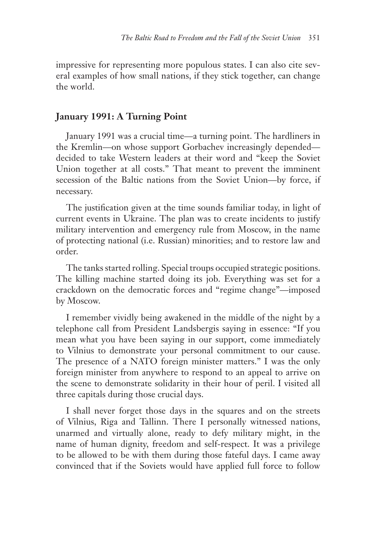impressive for representing more populous states. I can also cite several examples of how small nations, if they stick together, can change the world.

#### **January 1991: A Turning Point**

January 1991 was a crucial time—a turning point. The hardliners in the Kremlin—on whose support Gorbachev increasingly depended decided to take Western leaders at their word and "keep the Soviet Union together at all costs." That meant to prevent the imminent secession of the Baltic nations from the Soviet Union—by force, if necessary.

The justification given at the time sounds familiar today, in light of current events in Ukraine. The plan was to create incidents to justify military intervention and emergency rule from Moscow, in the name of protecting national (i.e. Russian) minorities; and to restore law and order.

The tanks started rolling. Special troups occupied strategic positions. The killing machine started doing its job. Everything was set for a crackdown on the democratic forces and "regime change"—imposed by Moscow.

I remember vividly being awakened in the middle of the night by a telephone call from President Landsbergis saying in essence: "If you mean what you have been saying in our support, come immediately to Vilnius to demonstrate your personal commitment to our cause. The presence of a NATO foreign minister matters." I was the only foreign minister from anywhere to respond to an appeal to arrive on the scene to demonstrate solidarity in their hour of peril. I visited all three capitals during those crucial days.

I shall never forget those days in the squares and on the streets of Vilnius, Riga and Tallinn. There I personally witnessed nations, unarmed and virtually alone, ready to defy military might, in the name of human dignity, freedom and self-respect. It was a privilege to be allowed to be with them during those fateful days. I came away convinced that if the Soviets would have applied full force to follow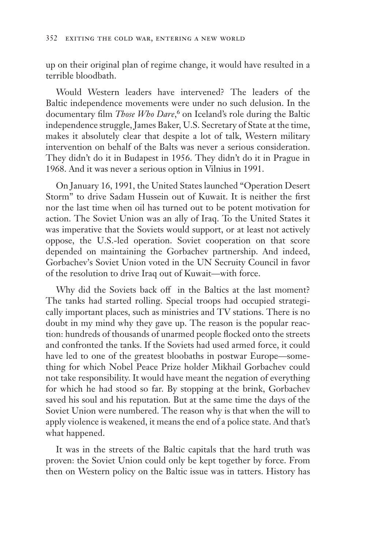up on their original plan of regime change, it would have resulted in a terrible bloodbath.

Would Western leaders have intervened? The leaders of the Baltic independence movements were under no such delusion. In the documentary film *Those Who Dare*, 6 on Iceland's role during the Baltic independence struggle, James Baker, U.S. Secretary of State at the time, makes it absolutely clear that despite a lot of talk, Western military intervention on behalf of the Balts was never a serious consideration. They didn't do it in Budapest in 1956. They didn't do it in Prague in 1968. And it was never a serious option in Vilnius in 1991.

On January 16, 1991, the United States launched "Operation Desert Storm" to drive Sadam Hussein out of Kuwait. It is neither the first nor the last time when oil has turned out to be potent motivation for action. The Soviet Union was an ally of Iraq. To the United States it was imperative that the Soviets would support, or at least not actively oppose, the U.S.-led operation. Soviet cooperation on that score depended on maintaining the Gorbachev partnership. And indeed, Gorbachev's Soviet Union voted in the UN Secruity Council in favor of the resolution to drive Iraq out of Kuwait—with force.

Why did the Soviets back off in the Baltics at the last moment? The tanks had started rolling. Special troops had occupied strategically important places, such as ministries and TV stations. There is no doubt in my mind why they gave up. The reason is the popular reaction: hundreds of thousands of unarmed people flocked onto the streets and confronted the tanks. If the Soviets had used armed force, it could have led to one of the greatest bloobaths in postwar Europe—something for which Nobel Peace Prize holder Mikhail Gorbachev could not take responsibility. It would have meant the negation of everything for which he had stood so far. By stopping at the brink, Gorbachev saved his soul and his reputation*.* But at the same time the days of the Soviet Union were numbered. The reason why is that when the will to apply violence is weakened, it means the end of a police state. And that's what happened.

It was in the streets of the Baltic capitals that the hard truth was proven: the Soviet Union could only be kept together by force. From then on Western policy on the Baltic issue was in tatters. History has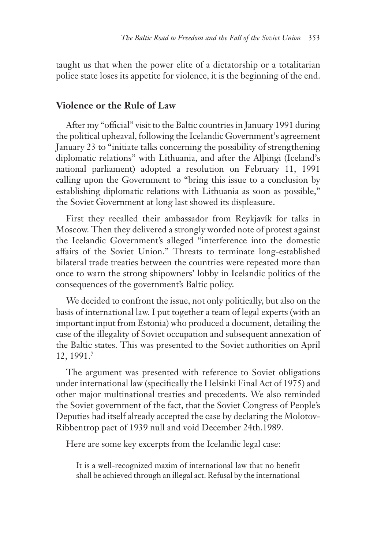taught us that when the power elite of a dictatorship or a totalitarian police state loses its appetite for violence, it is the beginning of the end.

## **Violence or the Rule of Law**

After my "official" visit to the Baltic countries in January 1991 during the political upheaval, following the Icelandic Government's agreement January 23 to "initiate talks concerning the possibility of strengthening diplomatic relations" with Lithuania, and after the Alþingi (Iceland's national parliament) adopted a resolution on February 11, 1991 calling upon the Government to "bring this issue to a conclusion by establishing diplomatic relations with Lithuania as soon as possible," the Soviet Government at long last showed its displeasure.

First they recalled their ambassador from Reykjavík for talks in Moscow. Then they delivered a strongly worded note of protest against the Icelandic Government's alleged "interference into the domestic affairs of the Soviet Union." Threats to terminate long-established bilateral trade treaties between the countries were repeated more than once to warn the strong shipowners' lobby in Icelandic politics of the consequences of the government's Baltic policy.

We decided to confront the issue, not only politically, but also on the basis of international law. I put together a team of legal experts (with an important input from Estonia) who produced a document, detailing the case of the illegality of Soviet occupation and subsequent annexation of the Baltic states. This was presented to the Soviet authorities on April 12, 1991.7

The argument was presented with reference to Soviet obligations under international law (specifically the Helsinki Final Act of 1975) and other major multinational treaties and precedents. We also reminded the Soviet government of the fact, that the Soviet Congress of People's Deputies had itself already accepted the case by declaring the Molotov-Ribbentrop pact of 1939 null and void December 24th.1989.

Here are some key excerpts from the Icelandic legal case:

It is a well-recognized maxim of international law that no benefit shall be achieved through an illegal act. Refusal by the international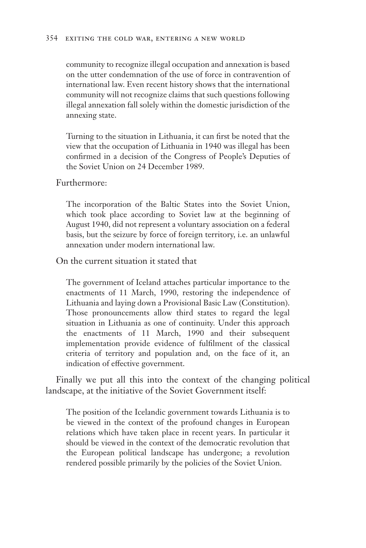community to recognize illegal occupation and annexation is based on the utter condemnation of the use of force in contravention of international law. Even recent history shows that the international community will not recognize claims that such questions following illegal annexation fall solely within the domestic jurisdiction of the annexing state.

Turning to the situation in Lithuania, it can first be noted that the view that the occupation of Lithuania in 1940 was illegal has been confirmed in a decision of the Congress of People's Deputies of the Soviet Union on 24 December 1989.

Furthermore:

The incorporation of the Baltic States into the Soviet Union, which took place according to Soviet law at the beginning of August 1940, did not represent a voluntary association on a federal basis, but the seizure by force of foreign territory, i.e. an unlawful annexation under modern international law.

On the current situation it stated that

The government of Iceland attaches particular importance to the enactments of 11 March, 1990, restoring the independence of Lithuania and laying down a Provisional Basic Law (Constitution). Those pronouncements allow third states to regard the legal situation in Lithuania as one of continuity. Under this approach the enactments of 11 March, 1990 and their subsequent implementation provide evidence of fulfilment of the classical criteria of territory and population and, on the face of it, an indication of effective government.

Finally we put all this into the context of the changing political landscape, at the initiative of the Soviet Government itself:

The position of the Icelandic government towards Lithuania is to be viewed in the context of the profound changes in European relations which have taken place in recent years. In particular it should be viewed in the context of the democratic revolution that the European political landscape has undergone; a revolution rendered possible primarily by the policies of the Soviet Union.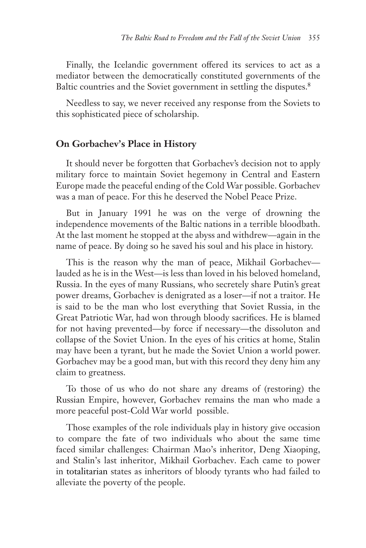Finally, the Icelandic government offered its services to act as a mediator between the democratically constituted governments of the Baltic countries and the Soviet government in settling the disputes.<sup>8</sup>

Needless to say, we never received any response from the Soviets to this sophisticated piece of scholarship.

## **On Gorbachev's Place in History**

It should never be forgotten that Gorbachev's decision not to apply military force to maintain Soviet hegemony in Central and Eastern Europe made the peaceful ending of the Cold War possible. Gorbachev was a man of peace. For this he deserved the Nobel Peace Prize.

But in January 1991 he was on the verge of drowning the independence movements of the Baltic nations in a terrible bloodbath. At the last moment he stopped at the abyss and withdrew—again in the name of peace. By doing so he saved his soul and his place in history.

This is the reason why the man of peace, Mikhail Gorbachev lauded as he is in the West—is less than loved in his beloved homeland, Russia. In the eyes of many Russians, who secretely share Putin's great power dreams, Gorbachev is denigrated as a loser—if not a traitor. He is said to be the man who lost everything that Soviet Russia, in the Great Patriotic War, had won through bloody sacrifices. He is blamed for not having prevented—by force if necessary—the dissoluton and collapse of the Soviet Union. In the eyes of his critics at home, Stalin may have been a tyrant, but he made the Soviet Union a world power. Gorbachev may be a good man, but with this record they deny him any claim to greatness.

To those of us who do not share any dreams of (restoring) the Russian Empire, however, Gorbachev remains the man who made a more peaceful post-Cold War world possible.

Those examples of the role individuals play in history give occasion to compare the fate of two individuals who about the same time faced similar challenges: Chairman Mao's inheritor, Deng Xiaoping, and Stalin's last inheritor, Mikhail Gorbachev. Each came to power in totalitarian states as inheritors of bloody tyrants who had failed to alleviate the poverty of the people.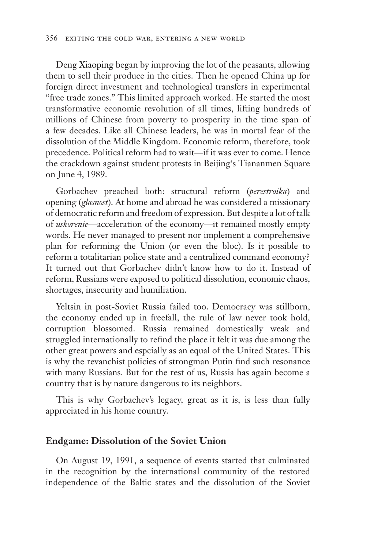Deng Xiaoping began by improving the lot of the peasants, allowing them to sell their produce in the cities. Then he opened China up for foreign direct investment and technological transfers in experimental "free trade zones." This limited approach worked. He started the most transformative economic revolution of all times, lifting hundreds of millions of Chinese from poverty to prosperity in the time span of a few decades. Like all Chinese leaders, he was in mortal fear of the dissolution of the Middle Kingdom. Economic reform, therefore, took precedence. Political reform had to wait—if it was ever to come. Hence the crackdown against student protests in Beijing's Tiananmen Square on June 4, 1989.

Gorbachev preached both: structural reform (*perestroika*) and opening (*glasnost*). At home and abroad he was considered a missionary of democratic reform and freedom of expression. But despite a lot of talk of *uskorenie—*acceleration of the economy—it remained mostly empty words. He never managed to present nor implement a comprehensive plan for reforming the Union (or even the bloc). Is it possible to reform a totalitarian police state and a centralized command economy? It turned out that Gorbachev didn't know how to do it. Instead of reform, Russians were exposed to political dissolution, economic chaos, shortages, insecurity and humiliation.

Yeltsin in post-Soviet Russia failed too. Democracy was stillborn, the economy ended up in freefall, the rule of law never took hold, corruption blossomed. Russia remained domestically weak and struggled internationally to refind the place it felt it was due among the other great powers and espcially as an equal of the United States. This is why the revanchist policies of strongman Putin find such resonance with many Russians. But for the rest of us, Russia has again become a country that is by nature dangerous to its neighbors.

This is why Gorbachev's legacy, great as it is, is less than fully appreciated in his home country.

#### **Endgame: Dissolution of the Soviet Union**

On August 19, 1991, a sequence of events started that culminated in the recognition by the international community of the restored independence of the Baltic states and the dissolution of the Soviet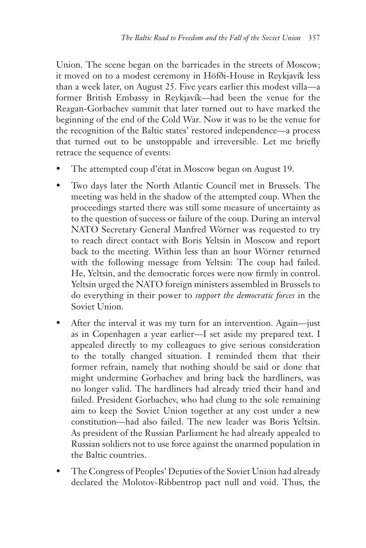Union. The scene began on the barricades in the streets of Moscow; it moved on to a modest ceremony in Höfði-House in Reykjavík less than a week later, on August 25. Five years earlier this modest villa—a former British Embassy in Reykjavík—had been the venue for the Reagan-Gorbachev summit that later turned out to have marked the beginning of the end of the Cold War. Now it was to be the venue for the recognition of the Baltic states' restored independence—a process that turned out to be unstoppable and irreversible. Let me briefly retrace the sequence of events:

- The attempted coup d'état in Moscow began on August 19.
- Two days later the North Atlantic Council met in Brussels. The meeting was held in the shadow of the attempted coup. When the proceedings started there was still some measure of uncertainty as to the question of success or failure of the coup. During an interval NATO Secretary General Manfred Wörner was requested to try to reach direct contact with Boris Yeltsin in Moscow and report back to the meeting. Within less than an hour Wörner returned with the following message from Yeltsin: The coup had failed. He, Yeltsin, and the democratic forces were now firmly in control. Yeltsin urged the NATO foreign ministers assembled in Brussels to do everything in their power to *support the democratic forces* in the Soviet Union.
- After the interval it was my turn for an intervention. Again—just as in Copenhagen a year earlier—I set aside my prepared text. I appealed directly to my colleagues to give serious consideration to the totally changed situation. I reminded them that their former refrain, namely that nothing should be said or done that might undermine Gorbachev and bring back the hardliners, was no longer valid. The hardliners had already tried their hand and failed. President Gorbachev, who had clung to the sole remaining aim to keep the Soviet Union together at any cost under a new constitution—had also failed. The new leader was Boris Yeltsin. As president of the Russian Parliament he had already appealed to Russian soldiers not to use force against the unarmed population in the Baltic countries.
- The Congress of Peoples' Deputies of the Soviet Union had already declared the Molotov-Ribbentrop pact null and void. Thus, the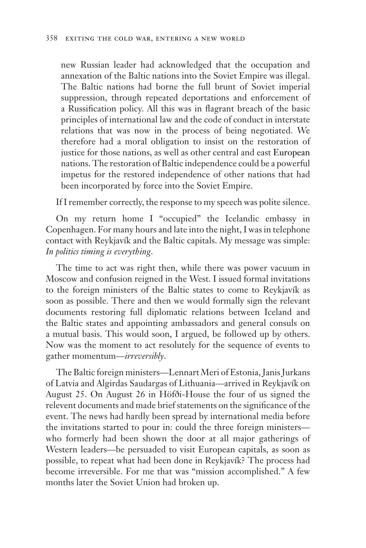new Russian leader had acknowledged that the occupation and annexation of the Baltic nations into the Soviet Empire was illegal. The Baltic nations had borne the full brunt of Soviet imperial suppression, through repeated deportations and enforcement of a Russification policy. All this was in flagrant breach of the basic principles of international law and the code of conduct in interstate relations that was now in the process of being negotiated. We therefore had a moral obligation to insist on the restoration of justice for those nations, as well as other central and east European nations. The restoration of Baltic independence could be a powerful impetus for the restored independence of other nations that had been incorporated by force into the Soviet Empire.

If I remember correctly, the response to my speech was polite silence.

On my return home I "occupied" the Icelandic embassy in Copenhagen. For many hours and late into the night, I was in telephone contact with Reykjavík and the Baltic capitals. My message was simple: *In politics timing is everything*.

The time to act was right then, while there was power vacuum in Moscow and confusion reigned in the West. I issued formal invitations to the foreign ministers of the Baltic states to come to Reykjavík as soon as possible. There and then we would formally sign the relevant documents restoring full diplomatic relations between Iceland and the Baltic states and appointing ambassadors and general consuls on a mutual basis. This would soon, I argued, be followed up by others. Now was the moment to act resolutely for the sequence of events to gather momentum—*irreversibly*.

The Baltic foreign ministers—Lennart Meri of Estonia, Janis Jurkans of Latvia and Algirdas Saudargas of Lithuania—arrived in Reykjavík on August 25. On August 26 in Höfði-House the four of us signed the relevent documents and made brief statements on the significance of the event. The news had hardly been spread by international media before the invitations started to pour in: could the three foreign ministers who formerly had been shown the door at all major gatherings of Western leaders—be persuaded to visit European capitals, as soon as possible, to repeat what had been done in Reykjavík? The process had become irreversible. For me that was "mission accomplished." A few months later the Soviet Union had broken up.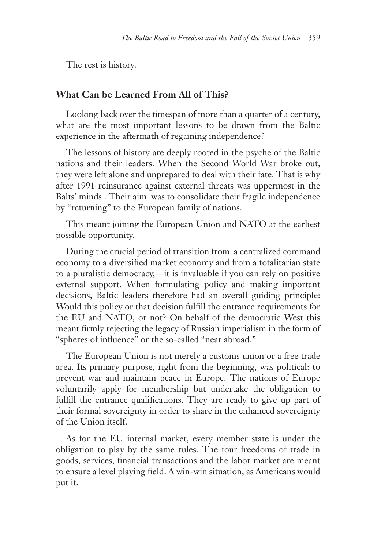The rest is history.

# **What Can be Learned From All of This?**

Looking back over the timespan of more than a quarter of a century, what are the most important lessons to be drawn from the Baltic experience in the aftermath of regaining independence?

The lessons of history are deeply rooted in the psyche of the Baltic nations and their leaders. When the Second World War broke out, they were left alone and unprepared to deal with their fate. That is why after 1991 reinsurance against external threats was uppermost in the Balts' minds . Their aim was to consolidate their fragile independence by "returning" to the European family of nations.

This meant joining the European Union and NATO at the earliest possible opportunity.

During the crucial period of transition from a centralized command economy to a diversified market economy and from a totalitarian state to a pluralistic democracy,—it is invaluable if you can rely on positive external support. When formulating policy and making important decisions, Baltic leaders therefore had an overall guiding principle: Would this policy or that decision fulfill the entrance requirements for the EU and NATO, or not? On behalf of the democratic West this meant firmly rejecting the legacy of Russian imperialism in the form of "spheres of influence" or the so-called "near abroad."

The European Union is not merely a customs union or a free trade area. Its primary purpose, right from the beginning, was political: to prevent war and maintain peace in Europe. The nations of Europe voluntarily apply for membership but undertake the obligation to fulfill the entrance qualifications. They are ready to give up part of their formal sovereignty in order to share in the enhanced sovereignty of the Union itself.

As for the EU internal market, every member state is under the obligation to play by the same rules. The four freedoms of trade in goods, services, financial transactions and the labor market are meant to ensure a level playing field. A win-win situation, as Americans would put it.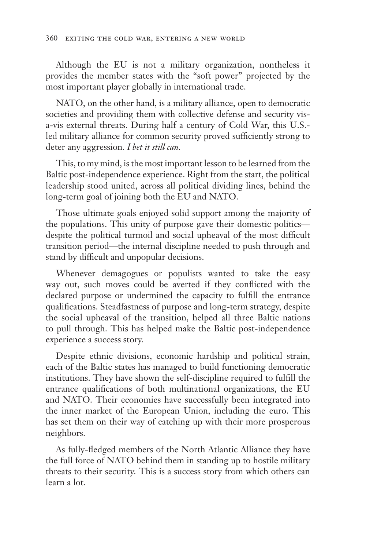Although the EU is not a military organization, nontheless it provides the member states with the "soft power" projected by the most important player globally in international trade.

NATO, on the other hand, is a military alliance, open to democratic societies and providing them with collective defense and security visa-vis external threats. During half a century of Cold War, this U.S. led military alliance for common security proved sufficiently strong to deter any aggression. *I bet it still can.*

This, to my mind, is the most important lesson to be learned from the Baltic post-independence experience. Right from the start, the political leadership stood united, across all political dividing lines, behind the long-term goal of joining both the EU and NATO.

Those ultimate goals enjoyed solid support among the majority of the populations. This unity of purpose gave their domestic politics despite the political turmoil and social upheaval of the most difficult transition period—the internal discipline needed to push through and stand by difficult and unpopular decisions.

Whenever demagogues or populists wanted to take the easy way out, such moves could be averted if they conflicted with the declared purpose or undermined the capacity to fulfill the entrance qualifications. Steadfastness of purpose and long-term strategy, despite the social upheaval of the transition, helped all three Baltic nations to pull through. This has helped make the Baltic post-independence experience a success story.

Despite ethnic divisions, economic hardship and political strain, each of the Baltic states has managed to build functioning democratic institutions. They have shown the self-discipline required to fulfill the entrance qualifications of both multinational organizations, the EU and NATO. Their economies have successfully been integrated into the inner market of the European Union, including the euro. This has set them on their way of catching up with their more prosperous neighbors.

As fully-fledged members of the North Atlantic Alliance they have the full force of NATO behind them in standing up to hostile military threats to their security. This is a success story from which others can learn a lot.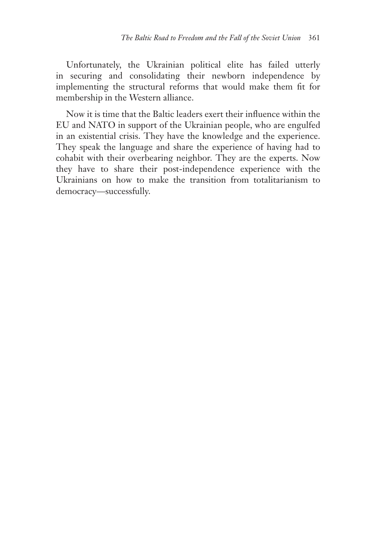Unfortunately, the Ukrainian political elite has failed utterly in securing and consolidating their newborn independence by implementing the structural reforms that would make them fit for membership in the Western alliance.

Now it is time that the Baltic leaders exert their influence within the EU and NATO in support of the Ukrainian people, who are engulfed in an existential crisis. They have the knowledge and the experience. They speak the language and share the experience of having had to cohabit with their overbearing neighbor. They are the experts. Now they have to share their post-independence experience with the Ukrainians on how to make the transition from totalitarianism to democracy—successfully.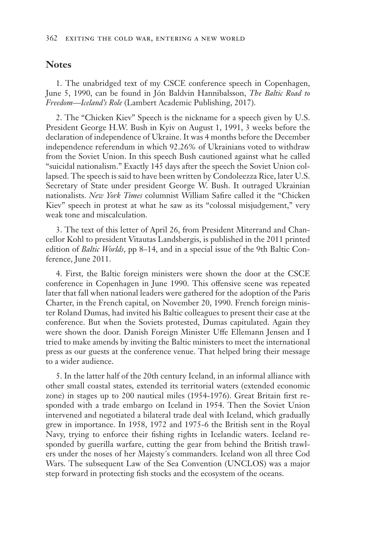### **Notes**

1. The unabridged text of my CSCE conference speech in Copenhagen, June 5, 1990, can be found in Jón Baldvin Hannibalsson, *The Baltic Road to Freedom—Iceland's Role* (Lambert Academic Publishing, 2017).

2. The "Chicken Kiev" Speech is the nickname for a speech given by U.S. President George H.W. Bush in Kyiv on August 1, 1991, 3 weeks before the declaration of independence of Ukraine. It was 4 months before the December independence referendum in which 92.26% of Ukrainians voted to withdraw from the Soviet Union. In this speech Bush cautioned against what he called "suicidal nationalism." Exactly 145 days after the speech the Soviet Union collapsed. The speech is said to have been written by Condoleezza Rice, later U.S. Secretary of State under president George W. Bush. It outraged Ukrainian nationalists. *New York Times* columnist William Safire called it the "Chicken Kiev" speech in protest at what he saw as its "colossal misjudgement," very weak tone and miscalculation.

3. The text of this letter of April 26, from President Miterrand and Chancellor Kohl to president Vitautas Landsbergis, is published in the 2011 printed edition of *Baltic Worlds*, pp 8–14, and in a special issue of the 9th Baltic Conference, June 2011.

4. First, the Baltic foreign ministers were shown the door at the CSCE conference in Copenhagen in June 1990. This offensive scene was repeated later that fall when national leaders were gathered for the adoption of the Paris Charter, in the French capital, on November 20, 1990. French foreign minister Roland Dumas, had invited his Baltic colleagues to present their case at the conference. But when the Soviets protested, Dumas capitulated. Again they were shown the door. Danish Foreign Minister Uffe Ellemann Jensen and I tried to make amends by inviting the Baltic ministers to meet the international press as our guests at the conference venue. That helped bring their message to a wider audience.

5. In the latter half of the 20th century Iceland, in an informal alliance with other small coastal states, extended its territorial waters (extended economic zone) in stages up to 200 nautical miles (1954-1976). Great Britain first responded with a trade embargo on Iceland in 1954. Then the Soviet Union intervened and negotiated a bilateral trade deal with Iceland, which gradually grew in importance. In 1958, 1972 and 1975-6 the British sent in the Royal Navy, trying to enforce their fishing rights in Icelandic waters. Iceland responded by guerilla warfare, cutting the gear from behind the British trawlers under the noses of her Majesty´s commanders. Iceland won all three Cod Wars. The subsequent Law of the Sea Convention (UNCLOS) was a major step forward in protecting fish stocks and the ecosystem of the oceans.